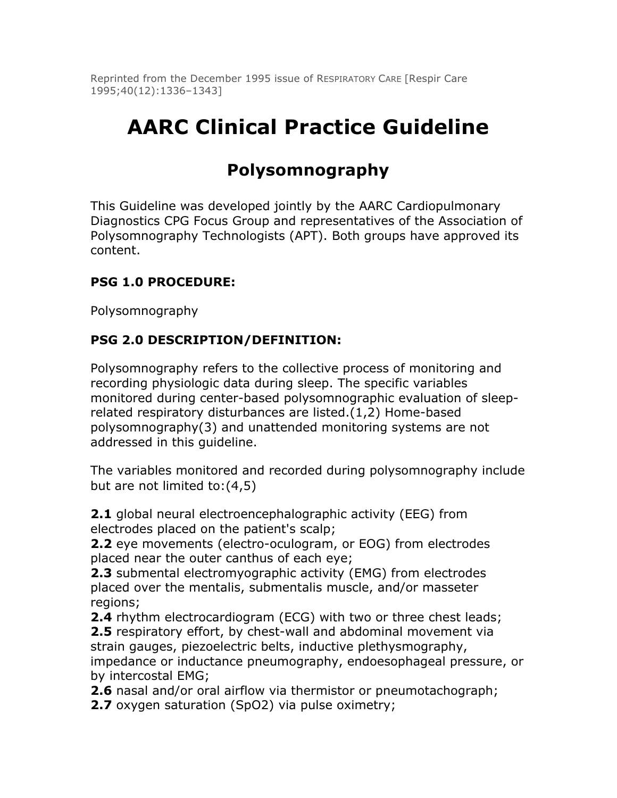Reprinted from the December 1995 issue of RESPIRATORY CARE [Respir Care 1995;40(12):1336–1343]

# **AARC Clinical Practice Guideline**

# **Polysomnography**

This Guideline was developed jointly by the AARC Cardiopulmonary Diagnostics CPG Focus Group and representatives of the Association of Polysomnography Technologists (APT). Both groups have approved its content.

#### **PSG 1.0 PROCEDURE:**

Polysomnography

#### **PSG 2.0 DESCRIPTION/DEFINITION:**

Polysomnography refers to the collective process of monitoring and recording physiologic data during sleep. The specific variables monitored during center-based polysomnographic evaluation of sleeprelated respiratory disturbances are listed.(1,2) Home-based polysomnography(3) and unattended monitoring systems are not addressed in this guideline.

The variables monitored and recorded during polysomnography include but are not limited to:(4,5)

**2.1** global neural electroencephalographic activity (EEG) from electrodes placed on the patient's scalp;

**2.2** eye movements (electro-oculogram, or EOG) from electrodes placed near the outer canthus of each eye;

**2.3** submental electromyographic activity (EMG) from electrodes placed over the mentalis, submentalis muscle, and/or masseter regions;

**2.4** rhythm electrocardiogram (ECG) with two or three chest leads; **2.5** respiratory effort, by chest-wall and abdominal movement via strain gauges, piezoelectric belts, inductive plethysmography, impedance or inductance pneumography, endoesophageal pressure, or by intercostal EMG;

**2.6** nasal and/or oral airflow via thermistor or pneumotachograph; **2.7** oxygen saturation (SpO2) via pulse oximetry;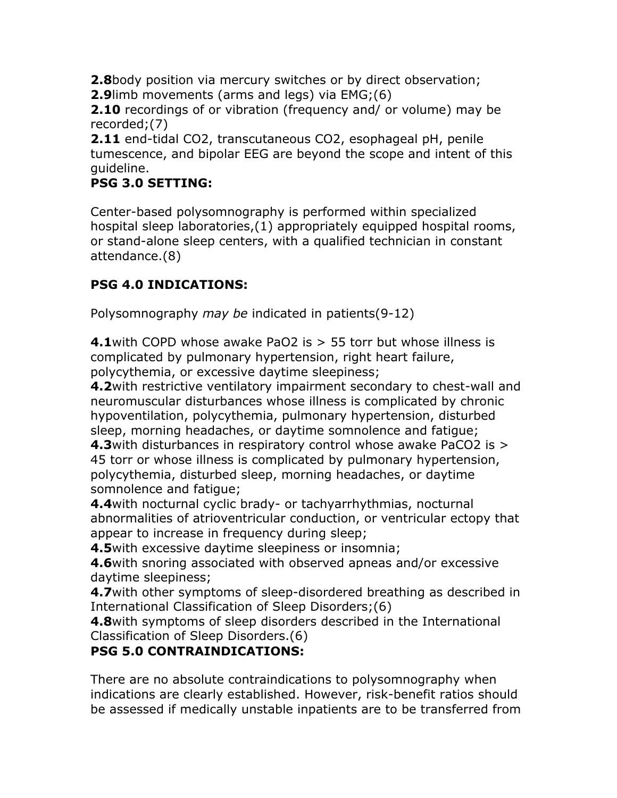**2.8**body position via mercury switches or by direct observation;

**2.9**limb movements (arms and legs) via EMG;(6)

**2.10** recordings of or vibration (frequency and/ or volume) may be recorded;(7)

**2.11** end-tidal CO2, transcutaneous CO2, esophageal pH, penile tumescence, and bipolar EEG are beyond the scope and intent of this guideline.

#### **PSG 3.0 SETTING:**

Center-based polysomnography is performed within specialized hospital sleep laboratories,(1) appropriately equipped hospital rooms, or stand-alone sleep centers, with a qualified technician in constant attendance.(8)

## **PSG 4.0 INDICATIONS:**

Polysomnography *may be* indicated in patients(9-12)

**4.1**with COPD whose awake PaO2 is > 55 torr but whose illness is complicated by pulmonary hypertension, right heart failure, polycythemia, or excessive daytime sleepiness;

**4.2**with restrictive ventilatory impairment secondary to chest-wall and neuromuscular disturbances whose illness is complicated by chronic hypoventilation, polycythemia, pulmonary hypertension, disturbed sleep, morning headaches, or daytime somnolence and fatigue; **4.3**with disturbances in respiratory control whose awake PaCO2 is >

45 torr or whose illness is complicated by pulmonary hypertension, polycythemia, disturbed sleep, morning headaches, or daytime somnolence and fatigue;

**4.4**with nocturnal cyclic brady- or tachyarrhythmias, nocturnal abnormalities of atrioventricular conduction, or ventricular ectopy that appear to increase in frequency during sleep;

**4.5**with excessive daytime sleepiness or insomnia;

**4.6**with snoring associated with observed apneas and/or excessive daytime sleepiness;

**4.7**with other symptoms of sleep-disordered breathing as described in International Classification of Sleep Disorders;(6)

**4.8**with symptoms of sleep disorders described in the International Classification of Sleep Disorders.(6)

## **PSG 5.0 CONTRAINDICATIONS:**

There are no absolute contraindications to polysomnography when indications are clearly established. However, risk-benefit ratios should be assessed if medically unstable inpatients are to be transferred from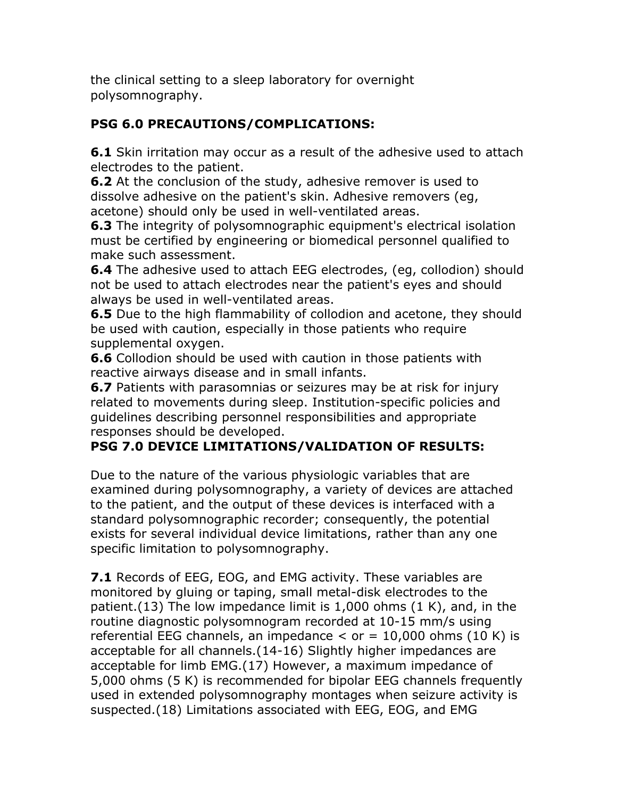the clinical setting to a sleep laboratory for overnight polysomnography.

## **PSG 6.0 PRECAUTIONS/COMPLICATIONS:**

**6.1** Skin irritation may occur as a result of the adhesive used to attach electrodes to the patient.

**6.2** At the conclusion of the study, adhesive remover is used to dissolve adhesive on the patient's skin. Adhesive removers (eg, acetone) should only be used in well-ventilated areas.

**6.3** The integrity of polysomnographic equipment's electrical isolation must be certified by engineering or biomedical personnel qualified to make such assessment.

**6.4** The adhesive used to attach EEG electrodes, (eg, collodion) should not be used to attach electrodes near the patient's eyes and should always be used in well-ventilated areas.

**6.5** Due to the high flammability of collodion and acetone, they should be used with caution, especially in those patients who require supplemental oxygen.

**6.6** Collodion should be used with caution in those patients with reactive airways disease and in small infants.

**6.7** Patients with parasomnias or seizures may be at risk for injury related to movements during sleep. Institution-specific policies and guidelines describing personnel responsibilities and appropriate responses should be developed.

## **PSG 7.0 DEVICE LIMITATIONS/VALIDATION OF RESULTS:**

Due to the nature of the various physiologic variables that are examined during polysomnography, a variety of devices are attached to the patient, and the output of these devices is interfaced with a standard polysomnographic recorder; consequently, the potential exists for several individual device limitations, rather than any one specific limitation to polysomnography.

**7.1** Records of EEG, EOG, and EMG activity. These variables are monitored by gluing or taping, small metal-disk electrodes to the patient.(13) The low impedance limit is 1,000 ohms (1 K), and, in the routine diagnostic polysomnogram recorded at 10-15 mm/s using referential EEG channels, an impedance  $\lt$  or  $=$  10,000 ohms (10 K) is acceptable for all channels.(14-16) Slightly higher impedances are acceptable for limb EMG.(17) However, a maximum impedance of 5,000 ohms (5 K) is recommended for bipolar EEG channels frequently used in extended polysomnography montages when seizure activity is suspected.(18) Limitations associated with EEG, EOG, and EMG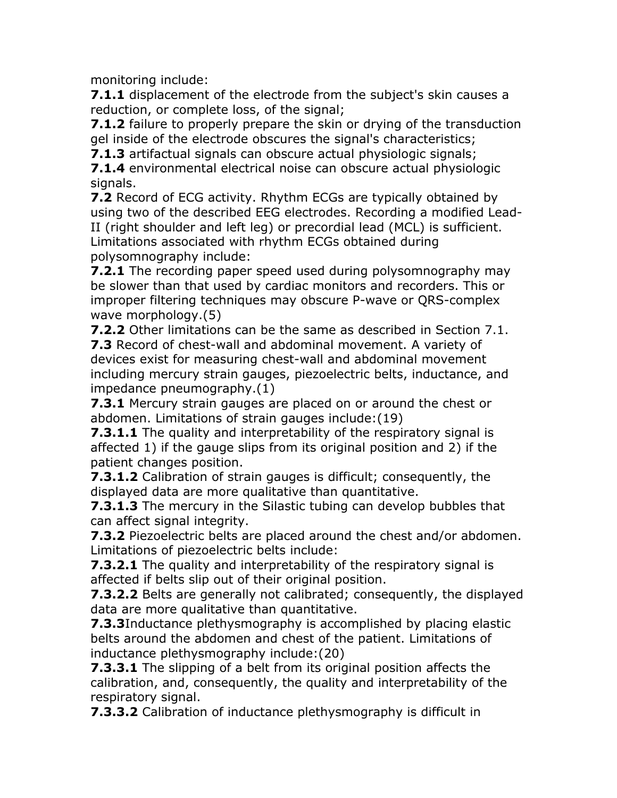monitoring include:

**7.1.1** displacement of the electrode from the subject's skin causes a reduction, or complete loss, of the signal;

**7.1.2** failure to properly prepare the skin or drying of the transduction gel inside of the electrode obscures the signal's characteristics;

**7.1.3** artifactual signals can obscure actual physiologic signals;

**7.1.4** environmental electrical noise can obscure actual physiologic signals.

**7.2** Record of ECG activity. Rhythm ECGs are typically obtained by using two of the described EEG electrodes. Recording a modified Lead-II (right shoulder and left leg) or precordial lead (MCL) is sufficient. Limitations associated with rhythm ECGs obtained during polysomnography include:

**7.2.1** The recording paper speed used during polysomnography may be slower than that used by cardiac monitors and recorders. This or improper filtering techniques may obscure P-wave or QRS-complex wave morphology.(5)

**7.2.2** Other limitations can be the same as described in Section 7.1. **7.3** Record of chest-wall and abdominal movement. A variety of devices exist for measuring chest-wall and abdominal movement including mercury strain gauges, piezoelectric belts, inductance, and impedance pneumography.(1)

**7.3.1** Mercury strain gauges are placed on or around the chest or abdomen. Limitations of strain gauges include:(19)

**7.3.1.1** The quality and interpretability of the respiratory signal is affected 1) if the gauge slips from its original position and 2) if the patient changes position.

**7.3.1.2** Calibration of strain gauges is difficult; consequently, the displayed data are more qualitative than quantitative.

**7.3.1.3** The mercury in the Silastic tubing can develop bubbles that can affect signal integrity.

**7.3.2** Piezoelectric belts are placed around the chest and/or abdomen. Limitations of piezoelectric belts include:

**7.3.2.1** The quality and interpretability of the respiratory signal is affected if belts slip out of their original position.

**7.3.2.2** Belts are generally not calibrated; consequently, the displayed data are more qualitative than quantitative.

**7.3.3**Inductance plethysmography is accomplished by placing elastic belts around the abdomen and chest of the patient. Limitations of inductance plethysmography include:(20)

**7.3.3.1** The slipping of a belt from its original position affects the calibration, and, consequently, the quality and interpretability of the respiratory signal.

**7.3.3.2** Calibration of inductance plethysmography is difficult in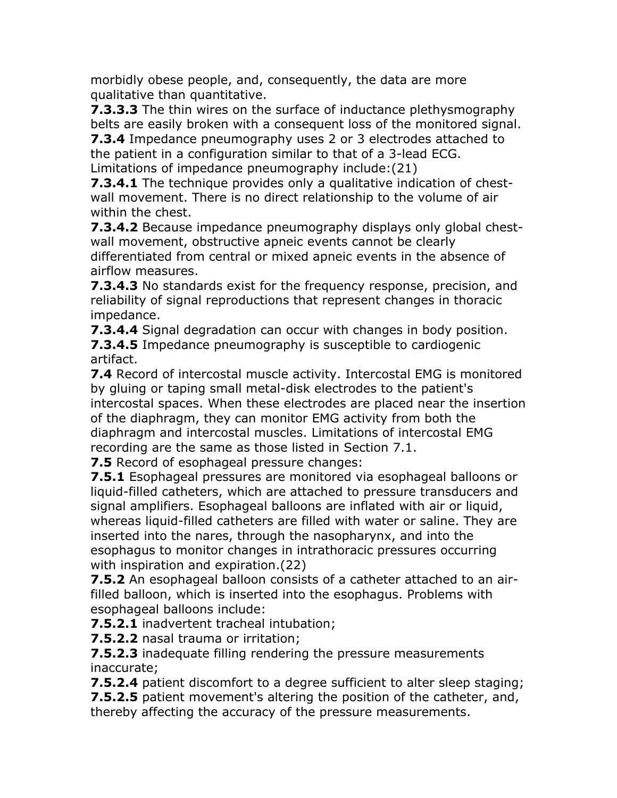morbidly obese people, and, consequently, the data are more qualitative than quantitative.

**7.3.3.3** The thin wires on the surface of inductance plethysmography belts are easily broken with a consequent loss of the monitored signal.

**7.3.4** Impedance pneumography uses 2 or 3 electrodes attached to the patient in a configuration similar to that of a 3-lead ECG.

Limitations of impedance pneumography include:(21)

**7.3.4.1** The technique provides only a qualitative indication of chestwall movement. There is no direct relationship to the volume of air within the chest.

**7.3.4.2** Because impedance pneumography displays only global chestwall movement, obstructive apneic events cannot be clearly differentiated from central or mixed apneic events in the absence of airflow measures.

**7.3.4.3** No standards exist for the frequency response, precision, and reliability of signal reproductions that represent changes in thoracic impedance.

**7.3.4.4** Signal degradation can occur with changes in body position. **7.3.4.5** Impedance pneumography is susceptible to cardiogenic artifact.

**7.4** Record of intercostal muscle activity. Intercostal EMG is monitored by gluing or taping small metal-disk electrodes to the patient's intercostal spaces. When these electrodes are placed near the insertion of the diaphragm, they can monitor EMG activity from both the diaphragm and intercostal muscles. Limitations of intercostal EMG recording are the same as those listed in Section 7.1.

**7.5** Record of esophageal pressure changes:

**7.5.1** Esophageal pressures are monitored via esophageal balloons or liquid-filled catheters, which are attached to pressure transducers and signal amplifiers. Esophageal balloons are inflated with air or liquid, whereas liquid-filled catheters are filled with water or saline. They are inserted into the nares, through the nasopharynx, and into the esophagus to monitor changes in intrathoracic pressures occurring with inspiration and expiration.(22)

**7.5.2** An esophageal balloon consists of a catheter attached to an airfilled balloon, which is inserted into the esophagus. Problems with esophageal balloons include:

**7.5.2.1** inadvertent tracheal intubation;

**7.5.2.2** nasal trauma or irritation;

**7.5.2.3** inadequate filling rendering the pressure measurements inaccurate;

**7.5.2.4** patient discomfort to a degree sufficient to alter sleep staging; **7.5.2.5** patient movement's altering the position of the catheter, and, thereby affecting the accuracy of the pressure measurements.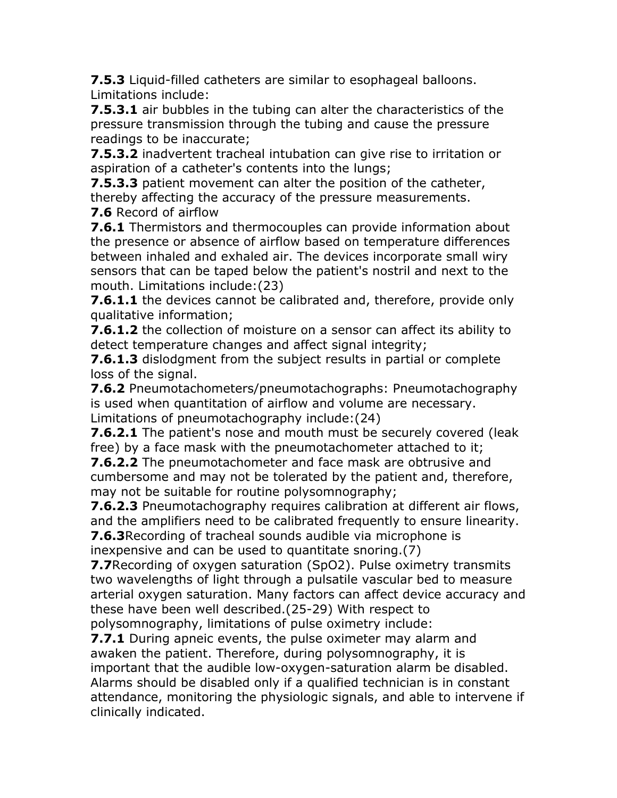**7.5.3** Liquid-filled catheters are similar to esophageal balloons. Limitations include:

**7.5.3.1** air bubbles in the tubing can alter the characteristics of the pressure transmission through the tubing and cause the pressure readings to be inaccurate;

**7.5.3.2** inadvertent tracheal intubation can give rise to irritation or aspiration of a catheter's contents into the lungs;

**7.5.3.3** patient movement can alter the position of the catheter, thereby affecting the accuracy of the pressure measurements.

**7.6** Record of airflow

**7.6.1** Thermistors and thermocouples can provide information about the presence or absence of airflow based on temperature differences between inhaled and exhaled air. The devices incorporate small wiry sensors that can be taped below the patient's nostril and next to the mouth. Limitations include:(23)

**7.6.1.1** the devices cannot be calibrated and, therefore, provide only qualitative information;

**7.6.1.2** the collection of moisture on a sensor can affect its ability to detect temperature changes and affect signal integrity;

**7.6.1.3** dislodgment from the subject results in partial or complete loss of the signal.

**7.6.2** Pneumotachometers/pneumotachographs: Pneumotachography is used when quantitation of airflow and volume are necessary. Limitations of pneumotachography include:(24)

**7.6.2.1** The patient's nose and mouth must be securely covered (leak free) by a face mask with the pneumotachometer attached to it;

**7.6.2.2** The pneumotachometer and face mask are obtrusive and cumbersome and may not be tolerated by the patient and, therefore, may not be suitable for routine polysomnography;

**7.6.2.3** Pneumotachography requires calibration at different air flows, and the amplifiers need to be calibrated frequently to ensure linearity.

**7.6.3**Recording of tracheal sounds audible via microphone is inexpensive and can be used to quantitate snoring.(7)

**7.7**Recording of oxygen saturation (SpO2). Pulse oximetry transmits two wavelengths of light through a pulsatile vascular bed to measure arterial oxygen saturation. Many factors can affect device accuracy and these have been well described.(25-29) With respect to polysomnography, limitations of pulse oximetry include:

**7.7.1** During apneic events, the pulse oximeter may alarm and awaken the patient. Therefore, during polysomnography, it is important that the audible low-oxygen-saturation alarm be disabled. Alarms should be disabled only if a qualified technician is in constant attendance, monitoring the physiologic signals, and able to intervene if clinically indicated.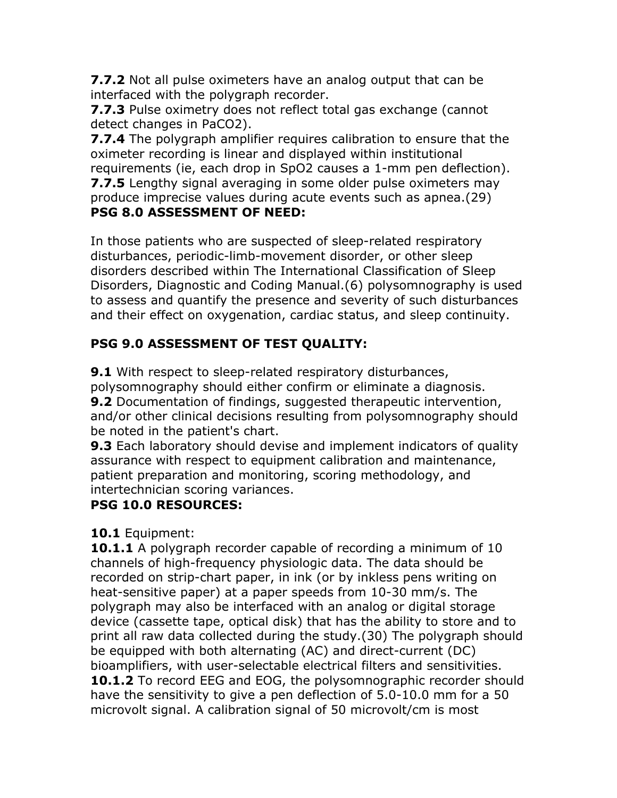**7.7.2** Not all pulse oximeters have an analog output that can be interfaced with the polygraph recorder.

**7.7.3** Pulse oximetry does not reflect total gas exchange (cannot detect changes in PaCO2).

**7.7.4** The polygraph amplifier requires calibration to ensure that the oximeter recording is linear and displayed within institutional requirements (ie, each drop in SpO2 causes a 1-mm pen deflection). **7.7.5** Lengthy signal averaging in some older pulse oximeters may produce imprecise values during acute events such as apnea.(29) **PSG 8.0 ASSESSMENT OF NEED:**

In those patients who are suspected of sleep-related respiratory disturbances, periodic-limb-movement disorder, or other sleep disorders described within The International Classification of Sleep Disorders, Diagnostic and Coding Manual.(6) polysomnography is used to assess and quantify the presence and severity of such disturbances and their effect on oxygenation, cardiac status, and sleep continuity.

# **PSG 9.0 ASSESSMENT OF TEST QUALITY:**

**9.1** With respect to sleep-related respiratory disturbances, polysomnography should either confirm or eliminate a diagnosis. **9.2** Documentation of findings, suggested therapeutic intervention, and/or other clinical decisions resulting from polysomnography should be noted in the patient's chart.

**9.3** Each laboratory should devise and implement indicators of quality assurance with respect to equipment calibration and maintenance, patient preparation and monitoring, scoring methodology, and intertechnician scoring variances.

# **PSG 10.0 RESOURCES:**

# **10.1** Equipment:

**10.1.1** A polygraph recorder capable of recording a minimum of 10 channels of high-frequency physiologic data. The data should be recorded on strip-chart paper, in ink (or by inkless pens writing on heat-sensitive paper) at a paper speeds from 10-30 mm/s. The polygraph may also be interfaced with an analog or digital storage device (cassette tape, optical disk) that has the ability to store and to print all raw data collected during the study.(30) The polygraph should be equipped with both alternating (AC) and direct-current (DC) bioamplifiers, with user-selectable electrical filters and sensitivities. **10.1.2** To record EEG and EOG, the polysomnographic recorder should have the sensitivity to give a pen deflection of 5.0-10.0 mm for a 50 microvolt signal. A calibration signal of 50 microvolt/cm is most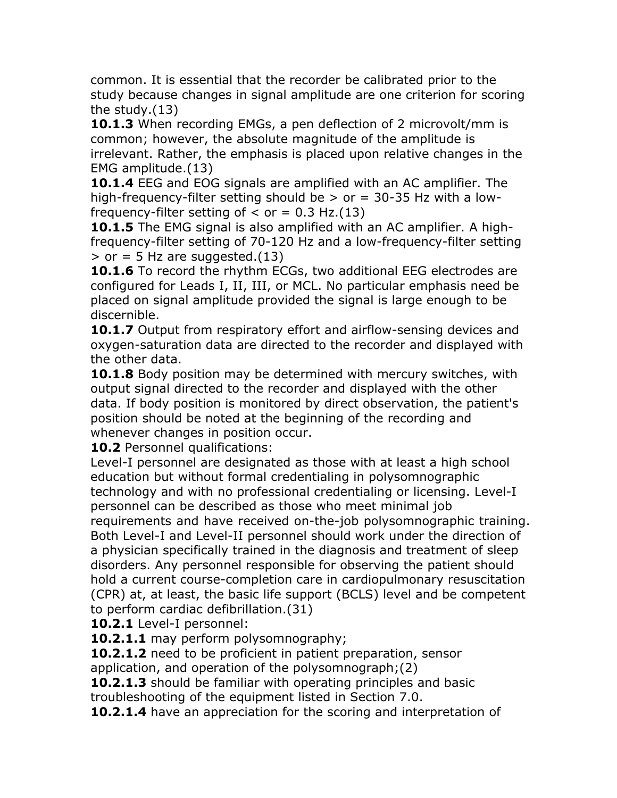common. It is essential that the recorder be calibrated prior to the study because changes in signal amplitude are one criterion for scoring the study.(13)

**10.1.3** When recording EMGs, a pen deflection of 2 microvolt/mm is common; however, the absolute magnitude of the amplitude is irrelevant. Rather, the emphasis is placed upon relative changes in the EMG amplitude.(13)

**10.1.4** EEG and EOG signals are amplified with an AC amplifier. The high-frequency-filter setting should be  $>$  or  $=$  30-35 Hz with a lowfrequency-filter setting of  $\langle$  or = 0.3 Hz.(13)

**10.1.5** The EMG signal is also amplified with an AC amplifier. A highfrequency-filter setting of 70-120 Hz and a low-frequency-filter setting  $>$  or = 5 Hz are suggested.(13)

**10.1.6** To record the rhythm ECGs, two additional EEG electrodes are configured for Leads I, II, III, or MCL. No particular emphasis need be placed on signal amplitude provided the signal is large enough to be discernible.

**10.1.7** Output from respiratory effort and airflow-sensing devices and oxygen-saturation data are directed to the recorder and displayed with the other data.

**10.1.8** Body position may be determined with mercury switches, with output signal directed to the recorder and displayed with the other data. If body position is monitored by direct observation, the patient's position should be noted at the beginning of the recording and whenever changes in position occur.

**10.2** Personnel qualifications:

Level-I personnel are designated as those with at least a high school education but without formal credentialing in polysomnographic technology and with no professional credentialing or licensing. Level-I personnel can be described as those who meet minimal job requirements and have received on-the-job polysomnographic training. Both Level-I and Level-II personnel should work under the direction of a physician specifically trained in the diagnosis and treatment of sleep disorders. Any personnel responsible for observing the patient should hold a current course-completion care in cardiopulmonary resuscitation (CPR) at, at least, the basic life support (BCLS) level and be competent to perform cardiac defibrillation.(31)

**10.2.1** Level-I personnel:

**10.2.1.1** may perform polysomnography;

**10.2.1.2** need to be proficient in patient preparation, sensor application, and operation of the polysomnograph;(2)

**10.2.1.3** should be familiar with operating principles and basic troubleshooting of the equipment listed in Section 7.0.

**10.2.1.4** have an appreciation for the scoring and interpretation of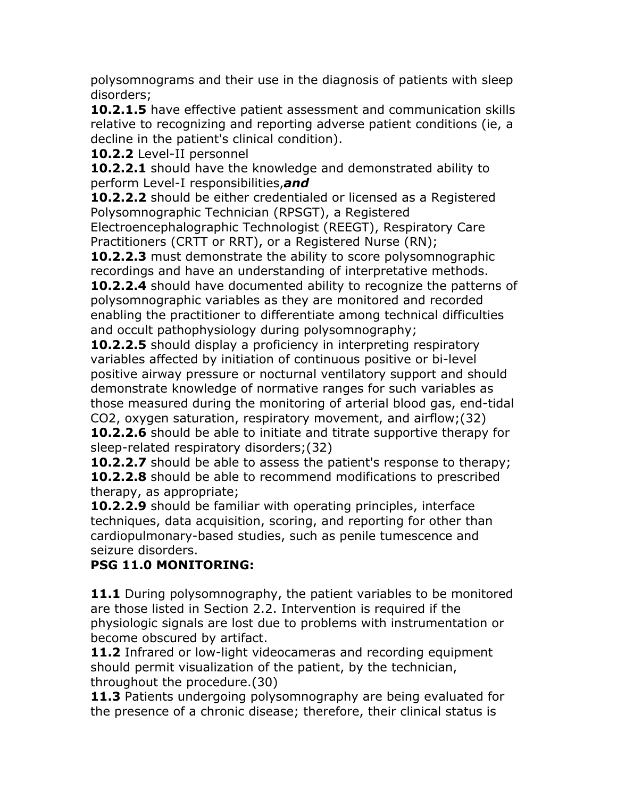polysomnograms and their use in the diagnosis of patients with sleep disorders;

**10.2.1.5** have effective patient assessment and communication skills relative to recognizing and reporting adverse patient conditions (ie, a decline in the patient's clinical condition).

**10.2.2** Level-II personnel

**10.2.2.1** should have the knowledge and demonstrated ability to perform Level-I responsibilities,*and*

**10.2.2.2** should be either credentialed or licensed as a Registered Polysomnographic Technician (RPSGT), a Registered

Electroencephalographic Technologist (REEGT), Respiratory Care Practitioners (CRTT or RRT), or a Registered Nurse (RN);

**10.2.2.3** must demonstrate the ability to score polysomnographic recordings and have an understanding of interpretative methods.

**10.2.2.4** should have documented ability to recognize the patterns of polysomnographic variables as they are monitored and recorded enabling the practitioner to differentiate among technical difficulties and occult pathophysiology during polysomnography;

**10.2.2.5** should display a proficiency in interpreting respiratory variables affected by initiation of continuous positive or bi-level positive airway pressure or nocturnal ventilatory support and should demonstrate knowledge of normative ranges for such variables as those measured during the monitoring of arterial blood gas, end-tidal CO2, oxygen saturation, respiratory movement, and airflow;(32) **10.2.2.6** should be able to initiate and titrate supportive therapy for sleep-related respiratory disorders;(32)

**10.2.2.7** should be able to assess the patient's response to therapy; **10.2.2.8** should be able to recommend modifications to prescribed therapy, as appropriate;

**10.2.2.9** should be familiar with operating principles, interface techniques, data acquisition, scoring, and reporting for other than cardiopulmonary-based studies, such as penile tumescence and seizure disorders.

# **PSG 11.0 MONITORING:**

11.1 During polysomnography, the patient variables to be monitored are those listed in Section 2.2. Intervention is required if the physiologic signals are lost due to problems with instrumentation or become obscured by artifact.

**11.2** Infrared or low-light videocameras and recording equipment should permit visualization of the patient, by the technician, throughout the procedure.(30)

**11.3** Patients undergoing polysomnography are being evaluated for the presence of a chronic disease; therefore, their clinical status is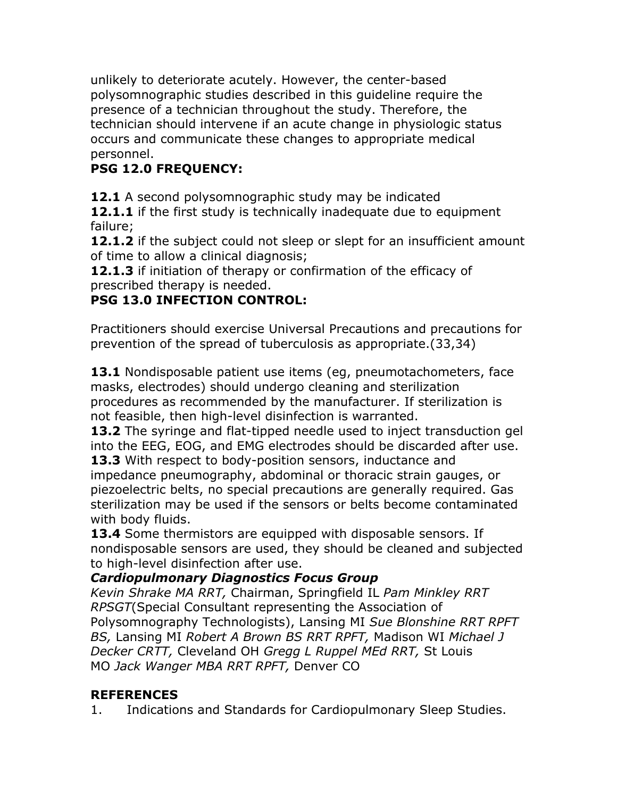unlikely to deteriorate acutely. However, the center-based polysomnographic studies described in this guideline require the presence of a technician throughout the study. Therefore, the technician should intervene if an acute change in physiologic status occurs and communicate these changes to appropriate medical personnel.

# **PSG 12.0 FREQUENCY:**

**12.1** A second polysomnographic study may be indicated

**12.1.1** if the first study is technically inadequate due to equipment failure;

**12.1.2** if the subject could not sleep or slept for an insufficient amount of time to allow a clinical diagnosis;

**12.1.3** if initiation of therapy or confirmation of the efficacy of prescribed therapy is needed.

# **PSG 13.0 INFECTION CONTROL:**

Practitioners should exercise Universal Precautions and precautions for prevention of the spread of tuberculosis as appropriate.(33,34)

13.1 Nondisposable patient use items (eg, pneumotachometers, face masks, electrodes) should undergo cleaning and sterilization procedures as recommended by the manufacturer. If sterilization is not feasible, then high-level disinfection is warranted.

**13.2** The syringe and flat-tipped needle used to inject transduction gel into the EEG, EOG, and EMG electrodes should be discarded after use. **13.3** With respect to body-position sensors, inductance and impedance pneumography, abdominal or thoracic strain gauges, or piezoelectric belts, no special precautions are generally required. Gas sterilization may be used if the sensors or belts become contaminated with body fluids.

**13.4** Some thermistors are equipped with disposable sensors. If nondisposable sensors are used, they should be cleaned and subjected to high-level disinfection after use.

## *Cardiopulmonary Diagnostics Focus Group*

*Kevin Shrake MA RRT,* Chairman, Springfield IL *Pam Minkley RRT RPSGT*(Special Consultant representing the Association of Polysomnography Technologists), Lansing MI *Sue Blonshine RRT RPFT BS,* Lansing MI *Robert A Brown BS RRT RPFT,* Madison WI *Michael J Decker CRTT,* Cleveland OH *Gregg L Ruppel MEd RRT,* St Louis MO *Jack Wanger MBA RRT RPFT,* Denver CO

## **REFERENCES**

1. Indications and Standards for Cardiopulmonary Sleep Studies.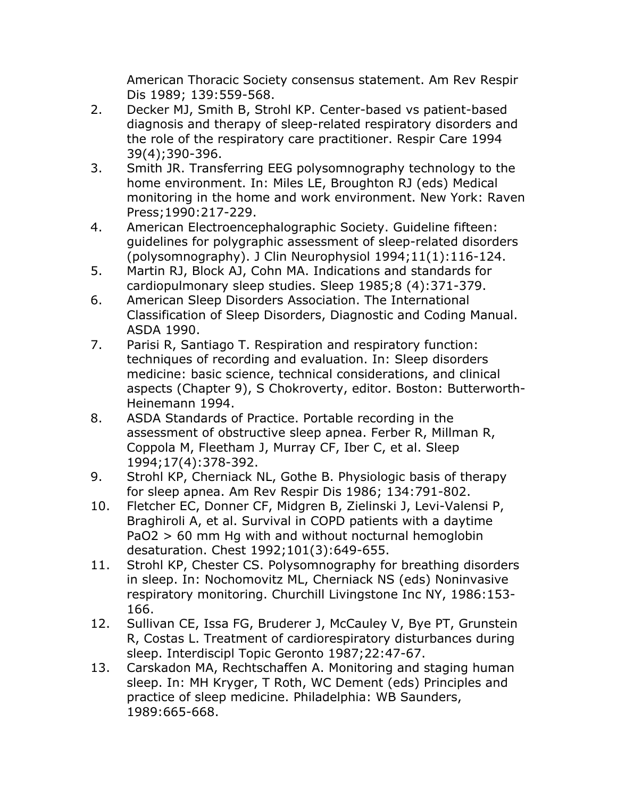American Thoracic Society consensus statement. Am Rev Respir Dis 1989; 139:559-568.

- 2. Decker MJ, Smith B, Strohl KP. Center-based vs patient-based diagnosis and therapy of sleep-related respiratory disorders and the role of the respiratory care practitioner. Respir Care 1994 39(4);390-396.
- 3. Smith JR. Transferring EEG polysomnography technology to the home environment. In: Miles LE, Broughton RJ (eds) Medical monitoring in the home and work environment. New York: Raven Press;1990:217-229.
- 4. American Electroencephalographic Society. Guideline fifteen: guidelines for polygraphic assessment of sleep-related disorders (polysomnography). J Clin Neurophysiol 1994;11(1):116-124.
- 5. Martin RJ, Block AJ, Cohn MA. Indications and standards for cardiopulmonary sleep studies. Sleep 1985;8 (4):371-379.
- 6. American Sleep Disorders Association. The International Classification of Sleep Disorders, Diagnostic and Coding Manual. ASDA 1990.
- 7. Parisi R, Santiago T. Respiration and respiratory function: techniques of recording and evaluation. In: Sleep disorders medicine: basic science, technical considerations, and clinical aspects (Chapter 9), S Chokroverty, editor. Boston: Butterworth-Heinemann 1994.
- 8. ASDA Standards of Practice. Portable recording in the assessment of obstructive sleep apnea. Ferber R, Millman R, Coppola M, Fleetham J, Murray CF, Iber C, et al. Sleep 1994;17(4):378-392.
- 9. Strohl KP, Cherniack NL, Gothe B. Physiologic basis of therapy for sleep apnea. Am Rev Respir Dis 1986; 134:791-802.
- 10. Fletcher EC, Donner CF, Midgren B, Zielinski J, Levi-Valensi P, Braghiroli A, et al. Survival in COPD patients with a daytime PaO2 > 60 mm Hg with and without nocturnal hemoglobin desaturation. Chest 1992;101(3):649-655.
- 11. Strohl KP, Chester CS. Polysomnography for breathing disorders in sleep. In: Nochomovitz ML, Cherniack NS (eds) Noninvasive respiratory monitoring. Churchill Livingstone Inc NY, 1986:153- 166.
- 12. Sullivan CE, Issa FG, Bruderer J, McCauley V, Bye PT, Grunstein R, Costas L. Treatment of cardiorespiratory disturbances during sleep. Interdiscipl Topic Geronto 1987;22:47-67.
- 13. Carskadon MA, Rechtschaffen A. Monitoring and staging human sleep. In: MH Kryger, T Roth, WC Dement (eds) Principles and practice of sleep medicine. Philadelphia: WB Saunders, 1989:665-668.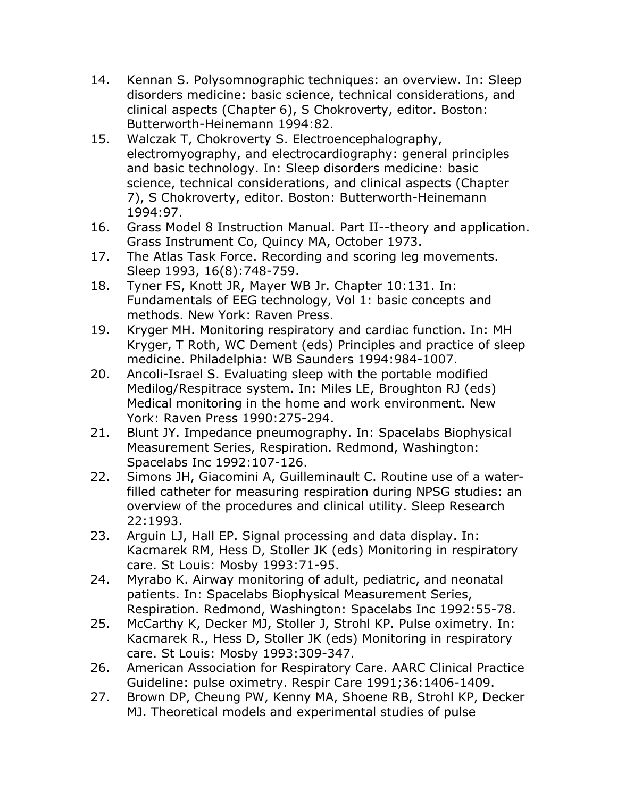- 14. Kennan S. Polysomnographic techniques: an overview. In: Sleep disorders medicine: basic science, technical considerations, and clinical aspects (Chapter 6), S Chokroverty, editor. Boston: Butterworth-Heinemann 1994:82.
- 15. Walczak T, Chokroverty S. Electroencephalography, electromyography, and electrocardiography: general principles and basic technology. In: Sleep disorders medicine: basic science, technical considerations, and clinical aspects (Chapter 7), S Chokroverty, editor. Boston: Butterworth-Heinemann 1994:97.
- 16. Grass Model 8 Instruction Manual. Part II--theory and application. Grass Instrument Co, Quincy MA, October 1973.
- 17. The Atlas Task Force. Recording and scoring leg movements. Sleep 1993, 16(8):748-759.
- 18. Tyner FS, Knott JR, Mayer WB Jr. Chapter 10:131. In: Fundamentals of EEG technology, Vol 1: basic concepts and methods. New York: Raven Press.
- 19. Kryger MH. Monitoring respiratory and cardiac function. In: MH Kryger, T Roth, WC Dement (eds) Principles and practice of sleep medicine. Philadelphia: WB Saunders 1994:984-1007.
- 20. Ancoli-Israel S. Evaluating sleep with the portable modified Medilog/Respitrace system. In: Miles LE, Broughton RJ (eds) Medical monitoring in the home and work environment. New York: Raven Press 1990:275-294.
- 21. Blunt JY. Impedance pneumography. In: Spacelabs Biophysical Measurement Series, Respiration. Redmond, Washington: Spacelabs Inc 1992:107-126.
- 22. Simons JH, Giacomini A, Guilleminault C. Routine use of a waterfilled catheter for measuring respiration during NPSG studies: an overview of the procedures and clinical utility. Sleep Research 22:1993.
- 23. Arguin LJ, Hall EP. Signal processing and data display. In: Kacmarek RM, Hess D, Stoller JK (eds) Monitoring in respiratory care. St Louis: Mosby 1993:71-95.
- 24. Myrabo K. Airway monitoring of adult, pediatric, and neonatal patients. In: Spacelabs Biophysical Measurement Series, Respiration. Redmond, Washington: Spacelabs Inc 1992:55-78.
- 25. McCarthy K, Decker MJ, Stoller J, Strohl KP. Pulse oximetry. In: Kacmarek R., Hess D, Stoller JK (eds) Monitoring in respiratory care. St Louis: Mosby 1993:309-347.
- 26. American Association for Respiratory Care. AARC Clinical Practice Guideline: pulse oximetry. Respir Care 1991;36:1406-1409.
- 27. Brown DP, Cheung PW, Kenny MA, Shoene RB, Strohl KP, Decker MJ. Theoretical models and experimental studies of pulse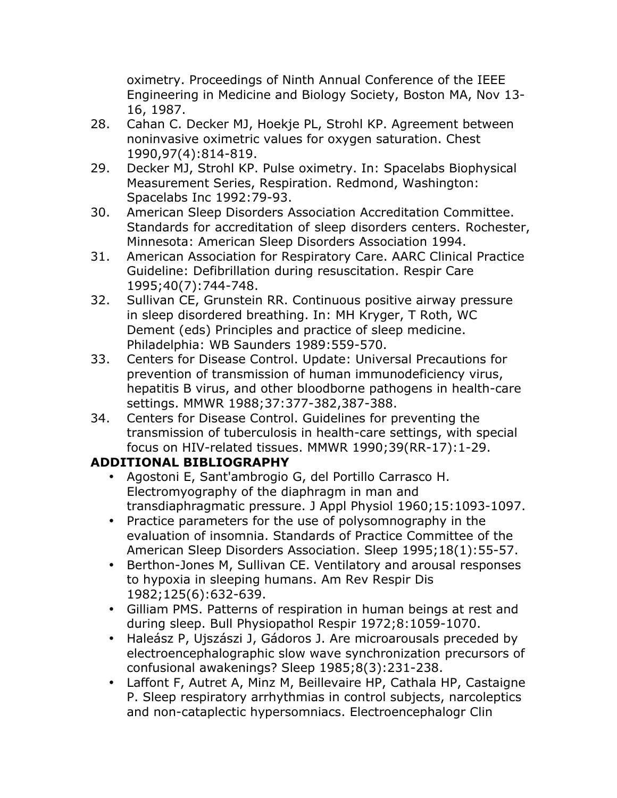oximetry. Proceedings of Ninth Annual Conference of the IEEE Engineering in Medicine and Biology Society, Boston MA, Nov 13- 16, 1987.

- 28. Cahan C. Decker MJ, Hoekje PL, Strohl KP. Agreement between noninvasive oximetric values for oxygen saturation. Chest 1990,97(4):814-819.
- 29. Decker MJ, Strohl KP. Pulse oximetry. In: Spacelabs Biophysical Measurement Series, Respiration. Redmond, Washington: Spacelabs Inc 1992:79-93.
- 30. American Sleep Disorders Association Accreditation Committee. Standards for accreditation of sleep disorders centers. Rochester, Minnesota: American Sleep Disorders Association 1994.
- 31. American Association for Respiratory Care. AARC Clinical Practice Guideline: Defibrillation during resuscitation. Respir Care 1995;40(7):744-748.
- 32. Sullivan CE, Grunstein RR. Continuous positive airway pressure in sleep disordered breathing. In: MH Kryger, T Roth, WC Dement (eds) Principles and practice of sleep medicine. Philadelphia: WB Saunders 1989:559-570.
- 33. Centers for Disease Control. Update: Universal Precautions for prevention of transmission of human immunodeficiency virus, hepatitis B virus, and other bloodborne pathogens in health-care settings. MMWR 1988;37:377-382,387-388.
- 34. Centers for Disease Control. Guidelines for preventing the transmission of tuberculosis in health-care settings, with special focus on HIV-related tissues. MMWR 1990;39(RR-17):1-29.

# **ADDITIONAL BIBLIOGRAPHY**

- Agostoni E, Sant'ambrogio G, del Portillo Carrasco H. Electromyography of the diaphragm in man and transdiaphragmatic pressure. J Appl Physiol 1960;15:1093-1097.
- Practice parameters for the use of polysomnography in the evaluation of insomnia. Standards of Practice Committee of the American Sleep Disorders Association. Sleep 1995;18(1):55-57.
- Berthon-Jones M, Sullivan CE. Ventilatory and arousal responses to hypoxia in sleeping humans. Am Rev Respir Dis 1982;125(6):632-639.
- Gilliam PMS. Patterns of respiration in human beings at rest and during sleep. Bull Physiopathol Respir 1972;8:1059-1070.
- Haleász P, Ujszászi J, Gádoros J. Are microarousals preceded by electroencephalographic slow wave synchronization precursors of confusional awakenings? Sleep 1985;8(3):231-238.
- Laffont F, Autret A, Minz M, Beillevaire HP, Cathala HP, Castaigne P. Sleep respiratory arrhythmias in control subjects, narcoleptics and non-cataplectic hypersomniacs. Electroencephalogr Clin